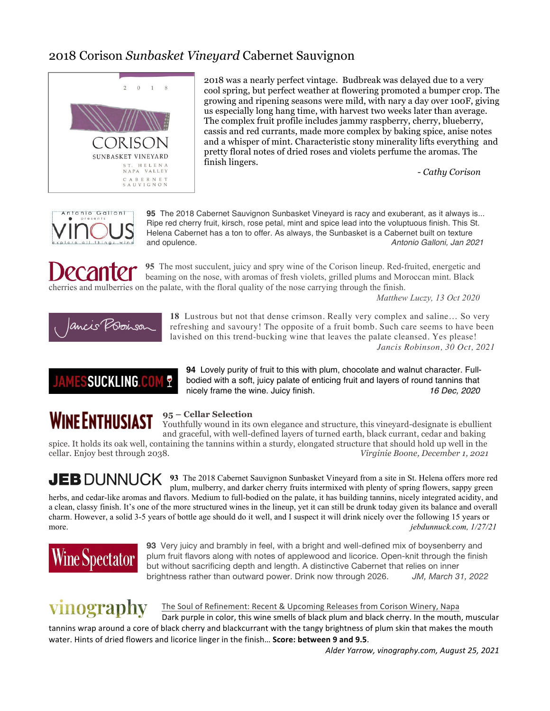#### 2018 Corison *Sunbasket Vineyard* Cabernet Sauvignon



2018 was a nearly perfect vintage. Budbreak was delayed due to a very cool spring, but perfect weather at flowering promoted a bumper crop. The growing and ripening seasons were mild, with nary a day over 100F, giving us especially long hang time, with harvest two weeks later than average. The complex fruit profile includes jammy raspberry, cherry, blueberry, cassis and red currants, made more complex by baking spice, anise notes and a whisper of mint. Characteristic stony minerality lifts everything and pretty floral notes of dried roses and violets perfume the aromas. The finish lingers.

*- Cathy Corison*



**95** The 2018 Cabernet Sauvignon Sunbasket Vineyard is racy and exuberant, as it always is... Ripe red cherry fruit, kirsch, rose petal, mint and spice lead into the voluptuous finish. This St. Helena Cabernet has a ton to offer. As always, the Sunbasket is a Cabernet built on texture and opulence. *Antonio Galloni, Jan 2021*

**95** The most succulent, juicy and spry wine of the Corison lineup. Red-fruited, energetic and beaming on the nose, with aromas of fresh violets, grilled plums and Moroccan mint. Black cherries and mulberries on the palate, with the floral quality of the nose carrying through the finish.

*Matthew Luczy, 13 Oct 2020*



**18** Lustrous but not that dense crimson. Really very complex and saline… So very refreshing and savoury! The opposite of a fruit bomb. Such care seems to have been lavished on this trend-bucking wine that leaves the palate cleansed. Yes please! *Jancis Robinson, 30 Oct, 2021*

**94** Lovely purity of fruit to this with plum, chocolate and walnut character. Fullbodied with a soft, juicy palate of enticing fruit and layers of round tannins that nicely frame the wine. Juicy finish. *16 Dec, 2020*

**SUCKLING.COM** Y

## **WINE ENTHUSIAST**

#### **95 – Cellar Selection**

Youthfully wound in its own elegance and structure, this vineyard-designate is ebullient and graceful, with well-defined layers of turned earth, black currant, cedar and baking

spice. It holds its oak well, containing the tannins within a sturdy, elongated structure that should hold up well in the cellar. Enjoy best through 2038. *Virginie Boone, December 1, 2021*

**JEB** DUNNUCK **93** The 2018 Cabernet Sauvignon Sunbasket Vineyard from a site in St. Helena offers more red plum, mulberry, and darker cherry fruits intermixed with plenty of spring flowers, sappy green

herbs, and cedar-like aromas and flavors. Medium to full-bodied on the palate, it has building tannins, nicely integrated acidity, and a clean, classy finish. It's one of the more structured wines in the lineup, yet it can still be drunk today given its balance and overall charm. However, a solid 3-5 years of bottle age should do it well, and I suspect it will drink nicely over the following 15 years or more. *jebdunnuck.com, 1/27/21*



**93** Very juicy and brambly in feel, with a bright and well-defined mix of boysenberry and plum fruit flavors along with notes of applewood and licorice. Open-knit through the finish but without sacrificing depth and length. A distinctive Cabernet that relies on inner brightness rather than outward power. Drink now through 2026. *JM, March 31, 2022*

# vinography

The Soul of Refinement: Recent & Upcoming Releases from Corison Winery, Napa

Dark purple in color, this wine smells of black plum and black cherry. In the mouth, muscular tannins wrap around a core of black cherry and blackcurrant with the tangy brightness of plum skin that makes the mouth water. Hints of dried flowers and licorice linger in the finish... **Score: between 9 and 9.5**.

 *Alder Yarrow, vinography.com, August 25, 2021*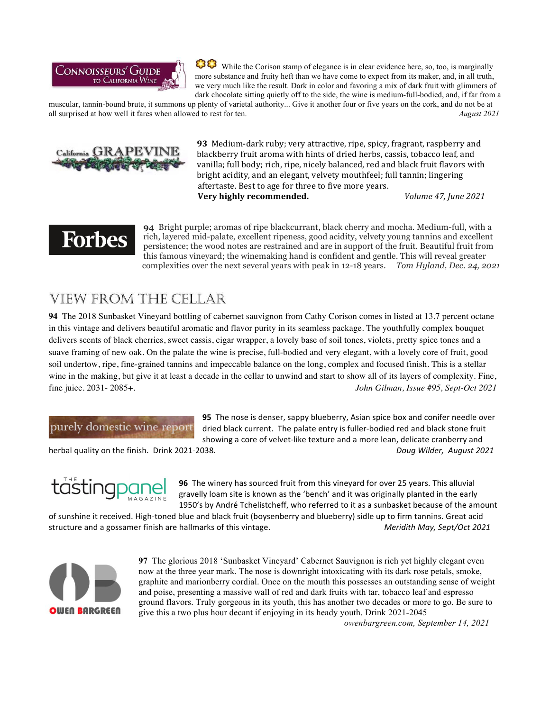

 While the Corison stamp of elegance is in clear evidence here, so, too, is marginally more substance and fruity heft than we have come to expect from its maker, and, in all truth, we very much like the result. Dark in color and favoring a mix of dark fruit with glimmers of dark chocolate sitting quietly off to the side, the wine is medium-full-bodied, and, if far from a

muscular, tannin-bound brute, it summons up plenty of varietal authority... Give it another four or five years on the cork, and do not be at all surprised at how well it fares when allowed to rest for ten. *August 2021*



**93** Medium-dark ruby; very attractive, ripe, spicy, fragrant, raspberry and blackberry fruit aroma with hints of dried herbs, cassis, tobacco leaf, and vanilla; full body; rich, ripe, nicely balanced, red and black fruit flavors with bright acidity, and an elegant, velvety mouthfeel; full tannin; lingering aftertaste. Best to age for three to five more years. **Very highly recommended.** *Volume 47, June 2021* 

## Forbes

**94** Bright purple; aromas of ripe blackcurrant, black cherry and mocha. Medium-full, with a rich, layered mid-palate, excellent ripeness, good acidity, velvety young tannins and excellent persistence; the wood notes are restrained and are in support of the fruit. Beautiful fruit from this famous vineyard; the winemaking hand is confident and gentle. This will reveal greater complexities over the next several years with peak in 12-18 years. *Tom Hyland, Dec. 24, 2021*

### **VIEW FROM THE CELLAR**

**94** The 2018 Sunbasket Vineyard bottling of cabernet sauvignon from Cathy Corison comes in listed at 13.7 percent octane in this vintage and delivers beautiful aromatic and flavor purity in its seamless package. The youthfully complex bouquet delivers scents of black cherries, sweet cassis, cigar wrapper, a lovely base of soil tones, violets, pretty spice tones and a suave framing of new oak. On the palate the wine is precise, full-bodied and very elegant, with a lovely core of fruit, good soil undertow, ripe, fine-grained tannins and impeccable balance on the long, complex and focused finish. This is a stellar wine in the making, but give it at least a decade in the cellar to unwind and start to show all of its layers of complexity. Fine, fine juice. 2031- 2085+. *John Gilman, Issue #95, Sept-Oct 2021*

#### purely domestic wine report

**95** The nose is denser, sappy blueberry, Asian spice box and conifer needle over dried black current. The palate entry is fuller-bodied red and black stone fruit showing a core of velvet-like texture and a more lean, delicate cranberry and

herbal quality on the finish. Drink 2021-2038. *Doug Wilder, August 2021* 



**96** The winery has sourced fruit from this vineyard for over 25 years. This alluvial gravelly loam site is known as the 'bench' and it was originally planted in the early 1950's by André Tchelistcheff, who referred to it as a sunbasket because of the amount

of sunshine it received. High-toned blue and black fruit (boysenberry and blueberry) sidle up to firm tannins. Great acid structure and a gossamer finish are hallmarks of this vintage. **Merical Communist Container Meridith May, Sept/Oct 2021** 



**97** The glorious 2018 'Sunbasket Vineyard' Cabernet Sauvignon is rich yet highly elegant even now at the three year mark. The nose is downright intoxicating with its dark rose petals, smoke, graphite and marionberry cordial. Once on the mouth this possesses an outstanding sense of weight and poise, presenting a massive wall of red and dark fruits with tar, tobacco leaf and espresso ground flavors. Truly gorgeous in its youth, this has another two decades or more to go. Be sure to give this a two plus hour decant if enjoying in its heady youth. Drink 2021-2045

*owenbargreen.com, September 14, 2021*